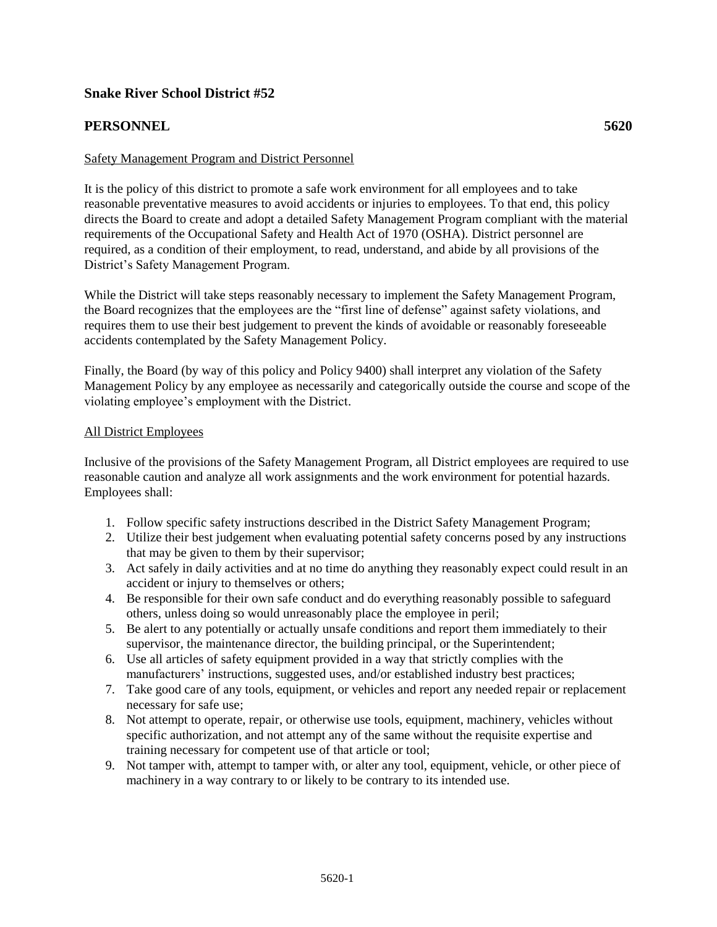# **Snake River School District #52**

# **PERSONNEL 5620**

### Safety Management Program and District Personnel

It is the policy of this district to promote a safe work environment for all employees and to take reasonable preventative measures to avoid accidents or injuries to employees. To that end, this policy directs the Board to create and adopt a detailed Safety Management Program compliant with the material requirements of the Occupational Safety and Health Act of 1970 (OSHA). District personnel are required, as a condition of their employment, to read, understand, and abide by all provisions of the District's Safety Management Program.

While the District will take steps reasonably necessary to implement the Safety Management Program, the Board recognizes that the employees are the "first line of defense" against safety violations, and requires them to use their best judgement to prevent the kinds of avoidable or reasonably foreseeable accidents contemplated by the Safety Management Policy.

Finally, the Board (by way of this policy and Policy 9400) shall interpret any violation of the Safety Management Policy by any employee as necessarily and categorically outside the course and scope of the violating employee's employment with the District.

#### All District Employees

Inclusive of the provisions of the Safety Management Program, all District employees are required to use reasonable caution and analyze all work assignments and the work environment for potential hazards. Employees shall:

- 1. Follow specific safety instructions described in the District Safety Management Program;
- 2. Utilize their best judgement when evaluating potential safety concerns posed by any instructions that may be given to them by their supervisor;
- 3. Act safely in daily activities and at no time do anything they reasonably expect could result in an accident or injury to themselves or others;
- 4. Be responsible for their own safe conduct and do everything reasonably possible to safeguard others, unless doing so would unreasonably place the employee in peril;
- 5. Be alert to any potentially or actually unsafe conditions and report them immediately to their supervisor, the maintenance director, the building principal, or the Superintendent;
- 6. Use all articles of safety equipment provided in a way that strictly complies with the manufacturers' instructions, suggested uses, and/or established industry best practices;
- 7. Take good care of any tools, equipment, or vehicles and report any needed repair or replacement necessary for safe use;
- 8. Not attempt to operate, repair, or otherwise use tools, equipment, machinery, vehicles without specific authorization, and not attempt any of the same without the requisite expertise and training necessary for competent use of that article or tool;
- 9. Not tamper with, attempt to tamper with, or alter any tool, equipment, vehicle, or other piece of machinery in a way contrary to or likely to be contrary to its intended use.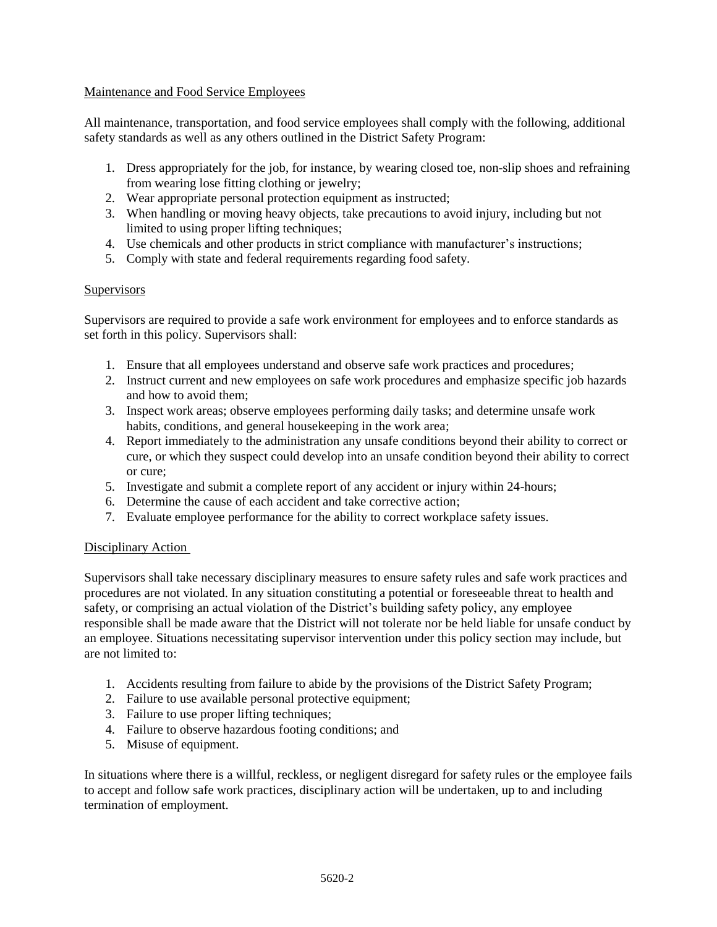### Maintenance and Food Service Employees

All maintenance, transportation, and food service employees shall comply with the following, additional safety standards as well as any others outlined in the District Safety Program:

- 1. Dress appropriately for the job, for instance, by wearing closed toe, non-slip shoes and refraining from wearing lose fitting clothing or jewelry;
- 2. Wear appropriate personal protection equipment as instructed;
- 3. When handling or moving heavy objects, take precautions to avoid injury, including but not limited to using proper lifting techniques;
- 4. Use chemicals and other products in strict compliance with manufacturer's instructions;
- 5. Comply with state and federal requirements regarding food safety.

### **Supervisors**

Supervisors are required to provide a safe work environment for employees and to enforce standards as set forth in this policy. Supervisors shall:

- 1. Ensure that all employees understand and observe safe work practices and procedures;
- 2. Instruct current and new employees on safe work procedures and emphasize specific job hazards and how to avoid them;
- 3. Inspect work areas; observe employees performing daily tasks; and determine unsafe work habits, conditions, and general housekeeping in the work area;
- 4. Report immediately to the administration any unsafe conditions beyond their ability to correct or cure, or which they suspect could develop into an unsafe condition beyond their ability to correct or cure;
- 5. Investigate and submit a complete report of any accident or injury within 24-hours;
- 6. Determine the cause of each accident and take corrective action;
- 7. Evaluate employee performance for the ability to correct workplace safety issues.

## Disciplinary Action

Supervisors shall take necessary disciplinary measures to ensure safety rules and safe work practices and procedures are not violated. In any situation constituting a potential or foreseeable threat to health and safety, or comprising an actual violation of the District's building safety policy, any employee responsible shall be made aware that the District will not tolerate nor be held liable for unsafe conduct by an employee. Situations necessitating supervisor intervention under this policy section may include, but are not limited to:

- 1. Accidents resulting from failure to abide by the provisions of the District Safety Program;
- 2. Failure to use available personal protective equipment;
- 3. Failure to use proper lifting techniques;
- 4. Failure to observe hazardous footing conditions; and
- 5. Misuse of equipment.

In situations where there is a willful, reckless, or negligent disregard for safety rules or the employee fails to accept and follow safe work practices, disciplinary action will be undertaken, up to and including termination of employment.